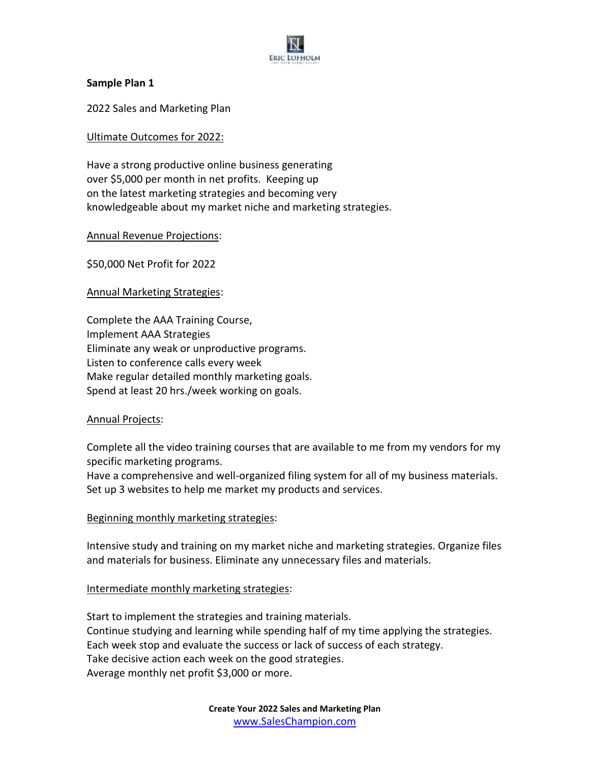

## **Sample Plan 1**

2022 Sales and Marketing Plan

## Ultimate Outcomes for 2022:

Have a strong productive online business generating over \$5,000 per month in net profits. Keeping up on the latest marketing strategies and becoming very knowledgeable about my market niche and marketing strategies.

## Annual Revenue Projections:

\$50,000 Net Profit for 2022

Annual Marketing Strategies:

Complete the AAA Training Course, Implement AAA Strategies Eliminate any weak or unproductive programs. Listen to conference calls every week Make regular detailed monthly marketing goals. Spend at least 20 hrs./week working on goals.

#### Annual Projects:

Complete all the video training courses that are available to me from my vendors for my specific marketing programs.

Have a comprehensive and well-organized filing system for all of my business materials. Set up 3 websites to help me market my products and services.

#### Beginning monthly marketing strategies:

Intensive study and training on my market niche and marketing strategies. Organize files and materials for business. Eliminate any unnecessary files and materials.

## Intermediate monthly marketing strategies:

Start to implement the strategies and training materials. Continue studying and learning while spending half of my time applying the strategies. Each week stop and evaluate the success or lack of success of each strategy. Take decisive action each week on the good strategies. Average monthly net profit \$3,000 or more.